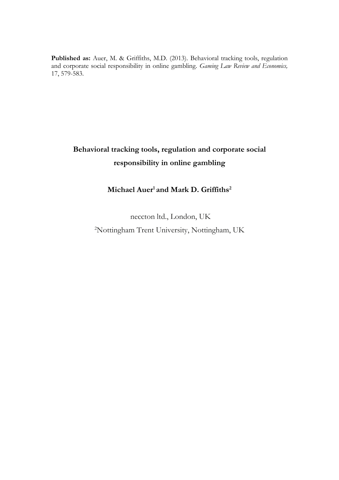Published as: Auer, M. & Griffiths, M.D. (2013). Behavioral tracking tools, regulation and corporate social responsibility in online gambling. *Gaming Law Review and Economics,* 17, 579-583.

## **Behavioral tracking tools, regulation and corporate social responsibility in online gambling**

## **Michael Auer<sup>1</sup> and Mark D. Griffiths<sup>2</sup>**

neccton ltd., London, UK 2Nottingham Trent University, Nottingham, UK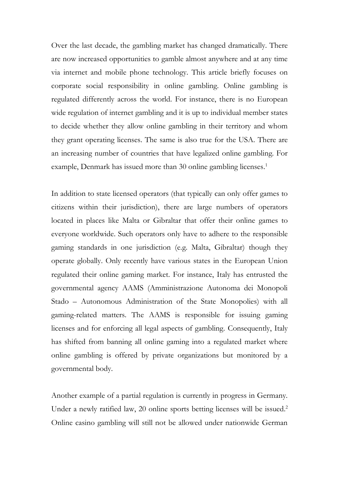Over the last decade, the gambling market has changed dramatically. There are now increased opportunities to gamble almost anywhere and at any time via internet and mobile phone technology. This article briefly focuses on corporate social responsibility in online gambling. Online gambling is regulated differently across the world. For instance, there is no European wide regulation of internet gambling and it is up to individual member states to decide whether they allow online gambling in their territory and whom they grant operating licenses. The same is also true for the USA. There are an increasing number of countries that have legalized online gambling. For example, Denmark has issued more than 30 online gambling licenses. 1

In addition to state licensed operators (that typically can only offer games to citizens within their jurisdiction), there are large numbers of operators located in places like Malta or Gibraltar that offer their online games to everyone worldwide. Such operators only have to adhere to the responsible gaming standards in one jurisdiction (e.g. Malta, Gibraltar) though they operate globally. Only recently have various states in the European Union regulated their online gaming market. For instance, Italy has entrusted the governmental agency AAMS (Amministrazione Autonoma dei Monopoli Stado – Autonomous Administration of the State Monopolies) with all gaming-related matters. The AAMS is responsible for issuing gaming licenses and for enforcing all legal aspects of gambling. Consequently, Italy has shifted from banning all online gaming into a regulated market where online gambling is offered by private organizations but monitored by a governmental body.

Another example of a partial regulation is currently in progress in Germany. Under a newly ratified law, 20 online sports betting licenses will be issued.<sup>2</sup> Online casino gambling will still not be allowed under nationwide German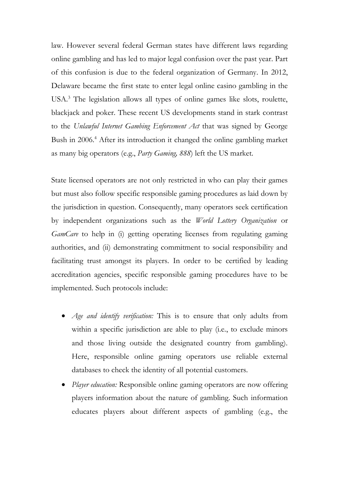law. However several federal German states have different laws regarding online gambling and has led to major legal confusion over the past year. Part of this confusion is due to the federal organization of Germany. In 2012, Delaware became the first state to enter legal online casino gambling in the USA. <sup>3</sup> The legislation allows all types of online games like slots, roulette, blackjack and poker. These recent US developments stand in stark contrast to the *Unlawful Internet Gambing Enforcement Act* that was signed by George Bush in 2006. <sup>4</sup> After its introduction it changed the online gambling market as many big operators (e.g., *Party Gaming, 888*) left the US market.

State licensed operators are not only restricted in who can play their games but must also follow specific responsible gaming procedures as laid down by the jurisdiction in question. Consequently, many operators seek certification by independent organizations such as the *World Lottery Organization* or *GamCare* to help in (i) getting operating licenses from regulating gaming authorities, and (ii) demonstrating commitment to social responsibility and facilitating trust amongst its players. In order to be certified by leading accreditation agencies, specific responsible gaming procedures have to be implemented. Such protocols include:

- *Age and identify verification:* This is to ensure that only adults from within a specific jurisdiction are able to play (i.e., to exclude minors and those living outside the designated country from gambling). Here, responsible online gaming operators use reliable external databases to check the identity of all potential customers.
- *Player education:* Responsible online gaming operators are now offering players information about the nature of gambling. Such information educates players about different aspects of gambling (e.g., the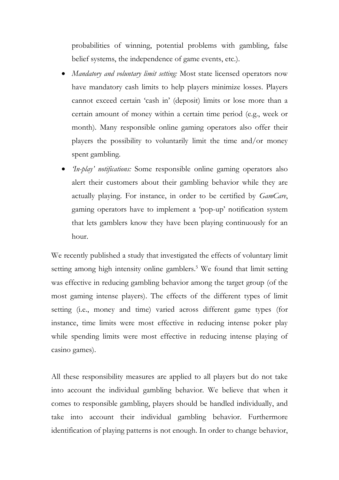probabilities of winning, potential problems with gambling, false belief systems, the independence of game events, etc.).

- *Mandatory and voluntary limit setting:* Most state licensed operators now have mandatory cash limits to help players minimize losses. Players cannot exceed certain 'cash in' (deposit) limits or lose more than a certain amount of money within a certain time period (e.g., week or month). Many responsible online gaming operators also offer their players the possibility to voluntarily limit the time and/or money spent gambling.
- *'In-play' notifications:* Some responsible online gaming operators also alert their customers about their gambling behavior while they are actually playing. For instance, in order to be certified by *GamCare*, gaming operators have to implement a 'pop-up' notification system that lets gamblers know they have been playing continuously for an hour.

We recently published a study that investigated the effects of voluntary limit setting among high intensity online gamblers. <sup>5</sup> We found that limit setting was effective in reducing gambling behavior among the target group (of the most gaming intense players). The effects of the different types of limit setting (i.e., money and time) varied across different game types (for instance, time limits were most effective in reducing intense poker play while spending limits were most effective in reducing intense playing of casino games).

All these responsibility measures are applied to all players but do not take into account the individual gambling behavior. We believe that when it comes to responsible gambling, players should be handled individually, and take into account their individual gambling behavior. Furthermore identification of playing patterns is not enough. In order to change behavior,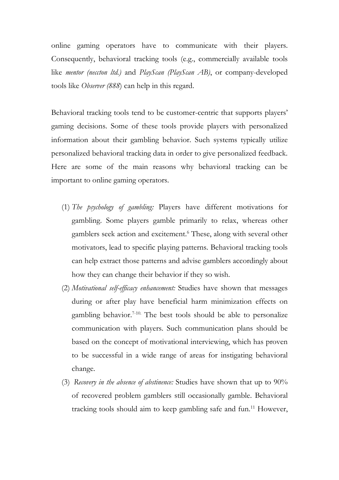online gaming operators have to communicate with their players. Consequently, behavioral tracking tools (e.g., commercially available tools like *mentor (neccton ltd.)* and *PlayScan (PlayScan AB)*, or company-developed tools like *Observer (888*) can help in this regard.

Behavioral tracking tools tend to be customer-centric that supports players' gaming decisions. Some of these tools provide players with personalized information about their gambling behavior. Such systems typically utilize personalized behavioral tracking data in order to give personalized feedback. Here are some of the main reasons why behavioral tracking can be important to online gaming operators.

- (1) *The psychology of gambling:* Players have different motivations for gambling. Some players gamble primarily to relax, whereas other gamblers seek action and excitement. <sup>6</sup> These, along with several other motivators, lead to specific playing patterns. Behavioral tracking tools can help extract those patterns and advise gamblers accordingly about how they can change their behavior if they so wish.
- (2) *Motivational self-efficacy enhancement:* Studies have shown that messages during or after play have beneficial harm minimization effects on gambling behavior. 7-10. The best tools should be able to personalize communication with players. Such communication plans should be based on the concept of motivational interviewing, which has proven to be successful in a wide range of areas for instigating behavioral change.
- (3) *Recovery in the absence of abstinence:* Studies have shown that up to 90% of recovered problem gamblers still occasionally gamble. Behavioral tracking tools should aim to keep gambling safe and fun.<sup>11</sup> However,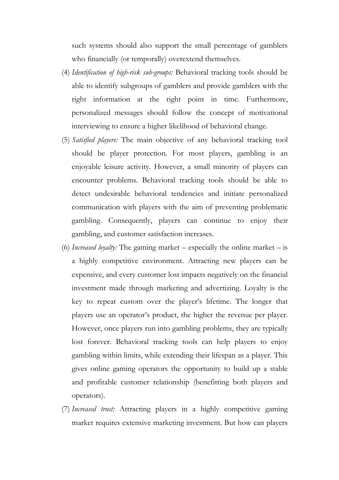such systems should also support the small percentage of gamblers who financially (or temporally) overextend themselves.

- (4) *Identification of high-risk sub-groups:* Behavioral tracking tools should be able to identify subgroups of gamblers and provide gamblers with the right information at the right point in time. Furthermore, personalized messages should follow the concept of motivational interviewing to ensure a higher likelihood of behavioral change.
- (5) *Satisfied players:* The main objective of any behavioral tracking tool should be player protection. For most players, gambling is an enjoyable leisure activity. However, a small minority of players can encounter problems. Behavioral tracking tools should be able to detect undesirable behavioral tendencies and initiate personalized communication with players with the aim of preventing problematic gambling. Consequently, players can continue to enjoy their gambling, and customer satisfaction increases.
- (6) *Increased loyalty:* The gaming market especially the online market is a highly competitive environment. Attracting new players can be expensive, and every customer lost impacts negatively on the financial investment made through marketing and advertizing. Loyalty is the key to repeat custom over the player's lifetime. The longer that players use an operator's product, the higher the revenue per player. However, once players run into gambling problems, they are typically lost forever. Behavioral tracking tools can help players to enjoy gambling within limits, while extending their lifespan as a player. This gives online gaming operators the opportunity to build up a stable and profitable customer relationship (benefitting both players and operators).
- (7) *Increased trust:* Attracting players in a highly competitive gaming market requires extensive marketing investment. But how can players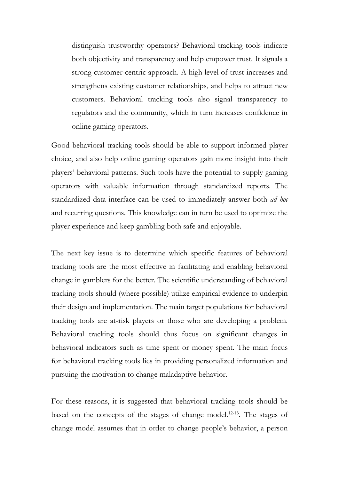distinguish trustworthy operators? Behavioral tracking tools indicate both objectivity and transparency and help empower trust. It signals a strong customer-centric approach. A high level of trust increases and strengthens existing customer relationships, and helps to attract new customers. Behavioral tracking tools also signal transparency to regulators and the community, which in turn increases confidence in online gaming operators.

Good behavioral tracking tools should be able to support informed player choice, and also help online gaming operators gain more insight into their players' behavioral patterns. Such tools have the potential to supply gaming operators with valuable information through standardized reports. The standardized data interface can be used to immediately answer both *ad hoc* and recurring questions. This knowledge can in turn be used to optimize the player experience and keep gambling both safe and enjoyable.

The next key issue is to determine which specific features of behavioral tracking tools are the most effective in facilitating and enabling behavioral change in gamblers for the better. The scientific understanding of behavioral tracking tools should (where possible) utilize empirical evidence to underpin their design and implementation. The main target populations for behavioral tracking tools are at-risk players or those who are developing a problem. Behavioral tracking tools should thus focus on significant changes in behavioral indicators such as time spent or money spent. The main focus for behavioral tracking tools lies in providing personalized information and pursuing the motivation to change maladaptive behavior.

For these reasons, it is suggested that behavioral tracking tools should be based on the concepts of the stages of change model.<sup>12-13</sup>. The stages of change model assumes that in order to change people's behavior, a person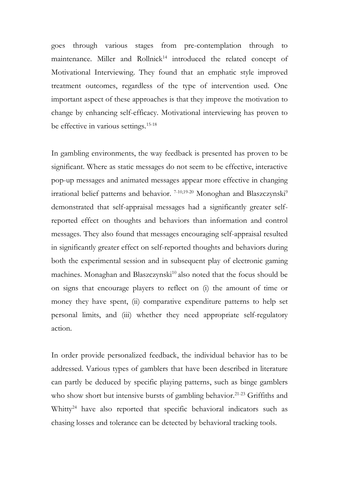goes through various stages from pre-contemplation through to maintenance. Miller and Rollnick<sup>14</sup> introduced the related concept of Motivational Interviewing. They found that an emphatic style improved treatment outcomes, regardless of the type of intervention used. One important aspect of these approaches is that they improve the motivation to change by enhancing self-efficacy. Motivational interviewing has proven to be effective in various settings. 15-18

In gambling environments, the way feedback is presented has proven to be significant. Where as static messages do not seem to be effective, interactive pop-up messages and animated messages appear more effective in changing irrational belief patterns and behavior. <sup>7-10,19-20</sup> Monoghan and Blaszczynski<sup>9</sup> demonstrated that self-appraisal messages had a significantly greater selfreported effect on thoughts and behaviors than information and control messages. They also found that messages encouraging self-appraisal resulted in significantly greater effect on self-reported thoughts and behaviors during both the experimental session and in subsequent play of electronic gaming machines. Monaghan and Blaszczynski<sup>10</sup> also noted that the focus should be on signs that encourage players to reflect on (i) the amount of time or money they have spent, (ii) comparative expenditure patterns to help set personal limits, and (iii) whether they need appropriate self-regulatory action.

In order provide personalized feedback, the individual behavior has to be addressed. Various types of gamblers that have been described in literature can partly be deduced by specific playing patterns, such as binge gamblers who show short but intensive bursts of gambling behavior.<sup>21-23</sup> Griffiths and Whitty<sup>24</sup> have also reported that specific behavioral indicators such as chasing losses and tolerance can be detected by behavioral tracking tools.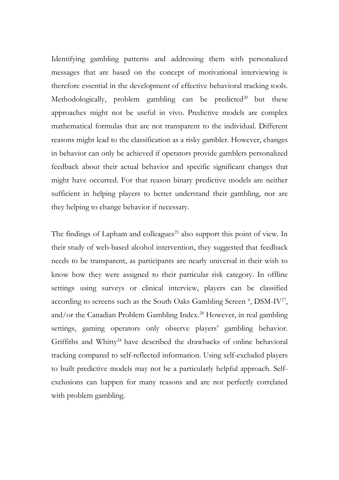Identifying gambling patterns and addressing them with personalized messages that are based on the concept of motivational interviewing is therefore essential in the development of effective behavioral tracking tools. Methodologically, problem gambling can be predicted<sup>20</sup> but these approaches might not be useful in vivo. Predictive models are complex mathematical formulas that are not transparent to the individual. Different reasons might lead to the classification as a risky gambler. However, changes in behavior can only be achieved if operators provide gamblers personalized feedback about their actual behavior and specific significant changes that might have occurred. For that reason binary predictive models are neither sufficient in helping players to better understand their gambling, nor are they helping to change behavior if necessary.

The findings of Lapham and colleagues<sup>25</sup> also support this point of view. In their study of web-based alcohol intervention, they suggested that feedback needs to be transparent, as participants are nearly universal in their wish to know how they were assigned to their particular risk category. In offline settings using surveys or clinical interview, players can be classified according to screens such as the South Oaks Gambling Screen <sup>6</sup>, DSM-IV<sup>27</sup>, and/or the Canadian Problem Gambling Index. <sup>28</sup> However, in real gambling settings, gaming operators only observe players' gambling behavior. Griffiths and Whitty<sup>24</sup> have described the drawbacks of online behavioral tracking compared to self-reflected information. Using self-excluded players to built predictive models may not be a particularly helpful approach. Selfexclusions can happen for many reasons and are not perfectly correlated with problem gambling.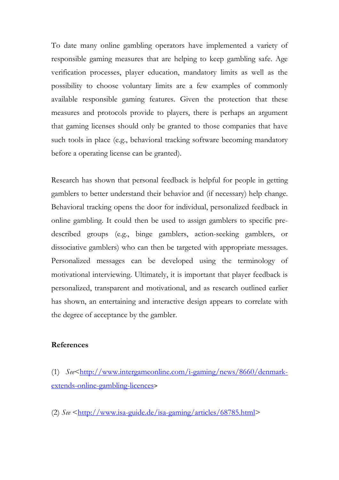To date many online gambling operators have implemented a variety of responsible gaming measures that are helping to keep gambling safe. Age verification processes, player education, mandatory limits as well as the possibility to choose voluntary limits are a few examples of commonly available responsible gaming features. Given the protection that these measures and protocols provide to players, there is perhaps an argument that gaming licenses should only be granted to those companies that have such tools in place (e.g., behavioral tracking software becoming mandatory before a operating license can be granted).

Research has shown that personal feedback is helpful for people in getting gamblers to better understand their behavior and (if necessary) help change. Behavioral tracking opens the door for individual, personalized feedback in online gambling. It could then be used to assign gamblers to specific predescribed groups (e.g., binge gamblers, action-seeking gamblers, or dissociative gamblers) who can then be targeted with appropriate messages. Personalized messages can be developed using the terminology of motivational interviewing. Ultimately, it is important that player feedback is personalized, transparent and motivational, and as research outlined earlier has shown, an entertaining and interactive design appears to correlate with the degree of acceptance by the gambler.

## **References**

- (1) *See*[<http://www.intergameonline.com/i-gaming/news/8660/denmark](http://www.intergameonline.com/i-gaming/news/8660/denmark-extends-online-gambling-licences)[extends-online-gambling-licences](http://www.intergameonline.com/i-gaming/news/8660/denmark-extends-online-gambling-licences)>
- (2) *See* [<http://www.isa-guide.de/isa-gaming/articles/68785.html>](http://www.isa-guide.de/isa-gaming/articles/68785.html)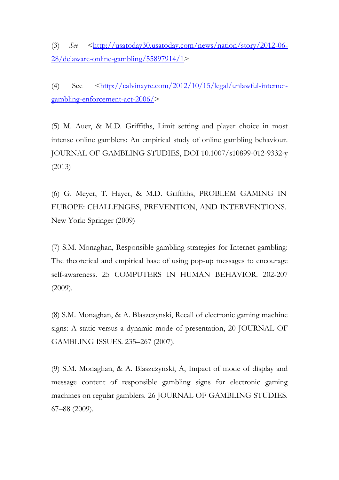(3) *See* [<http://usatoday30.usatoday.com/news/nation/story/2012-06-](http://usatoday30.usatoday.com/news/nation/story/2012-06-28/delaware-online-gambling/55897914/1) [28/delaware-online-gambling/55897914/1>](http://usatoday30.usatoday.com/news/nation/story/2012-06-28/delaware-online-gambling/55897914/1)

(4) See [<http://calvinayre.com/2012/10/15/legal/unlawful-internet](http://calvinayre.com/2012/10/15/legal/unlawful-internet-gambling-enforcement-act-2006/)[gambling-enforcement-act-2006/>](http://calvinayre.com/2012/10/15/legal/unlawful-internet-gambling-enforcement-act-2006/)

(5) M. Auer, & M.D. Griffiths, Limit setting and player choice in most intense online gamblers: An empirical study of online gambling behaviour. JOURNAL OF GAMBLING STUDIES, DOI 10.1007/s10899-012-9332-y (2013)

(6) G. Meyer, T. Hayer, & M.D. Griffiths, PROBLEM GAMING IN EUROPE: CHALLENGES, PREVENTION, AND INTERVENTIONS. New York: Springer (2009)

(7) S.M. Monaghan, Responsible gambling strategies for Internet gambling: The theoretical and empirical base of using pop-up messages to encourage self-awareness. 25 COMPUTERS IN HUMAN BEHAVIOR. 202-207 (2009).

(8) S.M. Monaghan, & A. Blaszczynski, Recall of electronic gaming machine signs: A static versus a dynamic mode of presentation, 20 JOURNAL OF GAMBLING ISSUES. 235–267 (2007).

(9) S.M. Monaghan, & A. Blaszczynski, A, Impact of mode of display and message content of responsible gambling signs for electronic gaming machines on regular gamblers. 26 JOURNAL OF GAMBLING STUDIES. 67–88 (2009).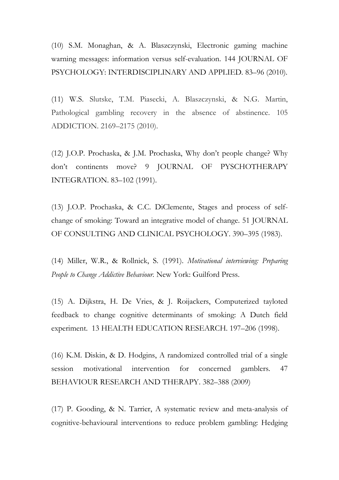(10) S.M. Monaghan, & A. Blaszczynski, Electronic gaming machine warning messages: information versus self-evaluation. 144 JOURNAL OF PSYCHOLOGY: INTERDISCIPLINARY AND APPLIED*.* 83–96 (2010).

(11) W.S. Slutske, T.M. Piasecki, A. Blaszczynski, & N.G. Martin, Pathological gambling recovery in the absence of abstinence. 105 ADDICTION. 2169–2175 (2010).

(12) J.O.P. Prochaska, & J.M. Prochaska, Why don't people change? Why don't continents move? 9 JOURNAL OF PYSCHOTHERAPY INTEGRATION. 83–102 (1991).

(13) J.O.P. Prochaska, & C.C. DiClemente, Stages and process of selfchange of smoking: Toward an integrative model of change. 51 JOURNAL OF CONSULTING AND CLINICAL PSYCHOLOGY. 390–395 (1983).

(14) Miller, W.R., & Rollnick, S. (1991). *Motivational interviewing: Preparing People to Change Addictive Behaviour.* New York: Guilford Press.

(15) A. Dijkstra, H. De Vries, & J. Roijackers, Computerized tayloted feedback to change cognitive determinants of smoking: A Dutch field experiment. 13 HEALTH EDUCATION RESEARCH. 197–206 (1998).

(16) K.M. Diskin, & D. Hodgins, A randomized controlled trial of a single session motivational intervention for concerned gamblers. 47 BEHAVIOUR RESEARCH AND THERAPY. 382–388 (2009)

(17) P. Gooding, & N. Tarrier, A systematic review and meta-analysis of cognitive-behavioural interventions to reduce problem gambling: Hedging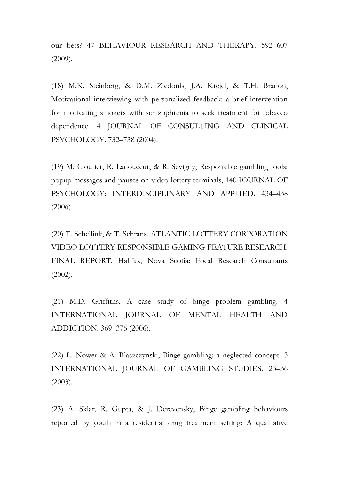our bets? 47 BEHAVIOUR RESEARCH AND THERAPY. 592–607 (2009).

(18) M.K. Steinberg, & D.M. Ziedonis, J.A. Krejci, & T.H. Bradon, Motivational interviewing with personalized feedback: a brief intervention for motivating smokers with schizophrenia to seek treatment for tobacco dependence. 4 JOURNAL OF CONSULTING AND CLINICAL PSYCHOLOGY. 732–738 (2004).

(19) M. Cloutier, R. Ladouceur, & R. Sevigny, Responsible gambling tools: popup messages and pauses on video lottery terminals, 140 JOURNAL OF PSYCHOLOGY: INTERDISCIPLINARY AND APPLIED. 434–438 (2006)

(20) T. Schellink, & T. Schrans. ATLANTIC LOTTERY CORPORATION VIDEO LOTTERY RESPONSIBLE GAMING FEATURE RESEARCH: FINAL REPORT. Halifax, Nova Scotia: Focal Research Consultants (2002).

(21) M.D. Griffiths, A case study of binge problem gambling. 4 INTERNATIONAL JOURNAL OF MENTAL HEALTH AND ADDICTION. 369–376 (2006).

(22) L. Nower & A. Blaszczynski, Binge gambling: a neglected concept. 3 INTERNATIONAL JOURNAL OF GAMBLING STUDIES. 23–36 (2003).

(23) A. Sklar, R. Gupta, & J. Derevensky, Binge gambling behaviours reported by youth in a residential drug treatment setting: A qualitative